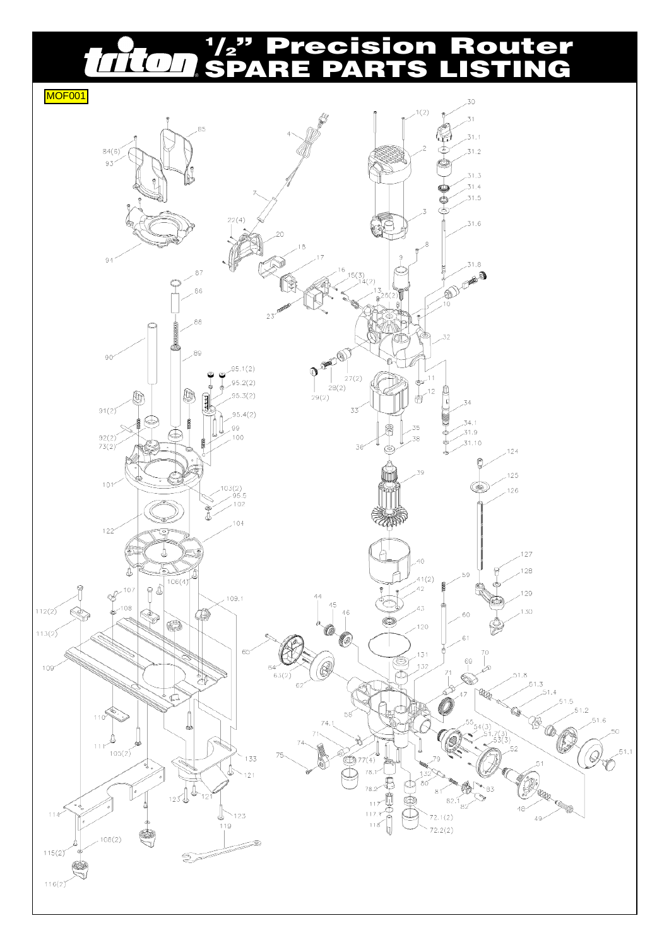## **1 /2" Precision Router** THOT **SPARE PARTS LISTING**